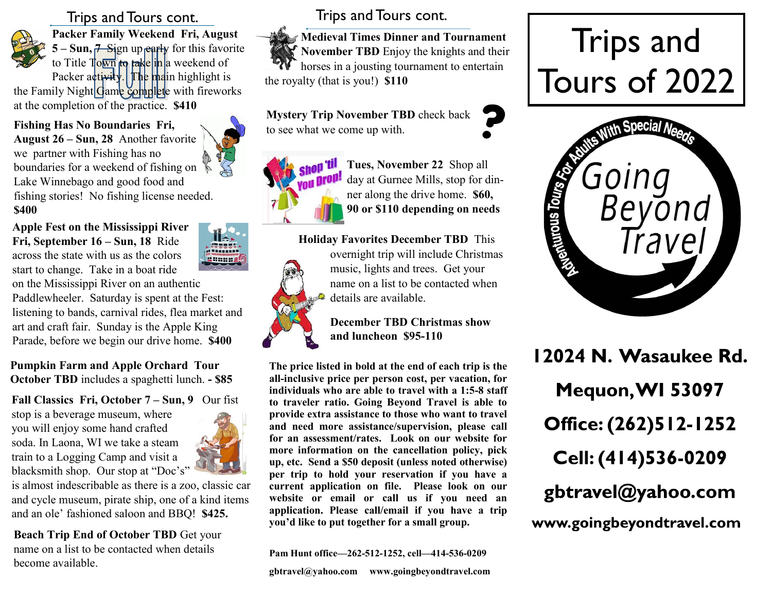

**Packer Family Weekend Fri, August 5 – Sun, 7** Sign up early for this favorite to Title Town to take in a weekend of Packer activity. The main highlight is the Family Night Game complete with fireworks at the completion of the practice. **\$410**

**Fishing Has No Boundaries Fri, August 26 – Sun, 28** Another favorite we partner with Fishing has no boundaries for a weekend of fishing on Lake Winnebago and good food and fishing stories! No fishing license needed. **\$400**

**Apple Fest on the Mississippi River Fri, September 16 – Sun, 18** Ride across the state with us as the colors start to change. Take in a boat ride

on the Mississippi River on an authentic Paddlewheeler. Saturday is spent at the Fest: listening to bands, carnival rides, flea market and art and craft fair. Sunday is the Apple King Parade, before we begin our drive home. **\$400**

**Pumpkin Farm and Apple Orchard Tour October TBD** includes a spaghetti lunch. **- \$85**

**Fall Classics Fri, October 7 – Sun, 9** Our fist

stop is a beverage museum, where you will enjoy some hand crafted soda. In Laona, WI we take a steam train to a Logging Camp and visit a blacksmith shop. Our stop at "Doc's"



is almost indescribable as there is a zoo, classic car and cycle museum, pirate ship, one of a kind items and an ole' fashioned saloon and BBQ! **\$425.**

**Beach Trip End of October TBD** Get your name on a list to be contacted when details become available.

Trips and Tours cont. Trips and Tours cont.

**Medieval Times Dinner and Tournament November TBD** Enjoy the knights and their horses in a jousting tournament to entertain the royalty (that is you!) **\$110**

**Mystery Trip November TBD** check back to see what we come up with.



**Tues, November 22** Shop all day at Gurnee Mills, stop for dinner along the drive home. **\$60, 90 or \$110 depending on needs**

 **Holiday Favorites December TBD** This overnight trip will include Christmas music, lights and trees. Get your name on a list to be contacted when details are available.

> **December TBD Christmas show and luncheon \$95-110**

**The price listed in bold at the end of each trip is the all-inclusive price per person cost, per vacation, for individuals who are able to travel with a 1:5-8 staff to traveler ratio. Going Beyond Travel is able to provide extra assistance to those who want to travel and need more assistance/supervision, please call for an assessment/rates. Look on our website for more information on the cancellation policy, pick up, etc. Send a \$50 deposit (unless noted otherwise) per trip to hold your reservation if you have a current application on file. Please look on our website or email or call us if you need an application. Please call/email if you have a trip you'd like to put together for a small group.**

**Pam Hunt office—262-512-1252, cell—414-536-0209**

**gbtravel@yahoo.com www.goingbeyondtravel.com**

# Trips and Tours of 2022



12024 N. Wasaukee Rd. Mequon, WI 53097 Office: (262)512-1252 Cell: (414)536-0209 gbtravel@yahoo.com www.goingbeyondtravel.com



**Mitteres**